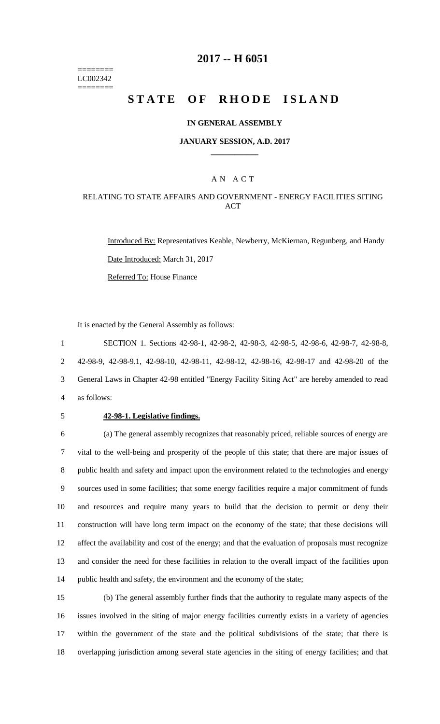======== LC002342 ========

## **2017 -- H 6051**

# **STATE OF RHODE ISLAND**

#### **IN GENERAL ASSEMBLY**

#### **JANUARY SESSION, A.D. 2017 \_\_\_\_\_\_\_\_\_\_\_\_**

#### A N A C T

## RELATING TO STATE AFFAIRS AND GOVERNMENT - ENERGY FACILITIES SITING **ACT**

Introduced By: Representatives Keable, Newberry, McKiernan, Regunberg, and Handy Date Introduced: March 31, 2017 Referred To: House Finance

It is enacted by the General Assembly as follows:

 SECTION 1. Sections 42-98-1, 42-98-2, 42-98-3, 42-98-5, 42-98-6, 42-98-7, 42-98-8, 42-98-9, 42-98-9.1, 42-98-10, 42-98-11, 42-98-12, 42-98-16, 42-98-17 and 42-98-20 of the General Laws in Chapter 42-98 entitled "Energy Facility Siting Act" are hereby amended to read as follows:

#### 5 **42-98-1. Legislative findings.**

 (a) The general assembly recognizes that reasonably priced, reliable sources of energy are vital to the well-being and prosperity of the people of this state; that there are major issues of public health and safety and impact upon the environment related to the technologies and energy sources used in some facilities; that some energy facilities require a major commitment of funds and resources and require many years to build that the decision to permit or deny their construction will have long term impact on the economy of the state; that these decisions will affect the availability and cost of the energy; and that the evaluation of proposals must recognize and consider the need for these facilities in relation to the overall impact of the facilities upon public health and safety, the environment and the economy of the state;

 (b) The general assembly further finds that the authority to regulate many aspects of the issues involved in the siting of major energy facilities currently exists in a variety of agencies within the government of the state and the political subdivisions of the state; that there is overlapping jurisdiction among several state agencies in the siting of energy facilities; and that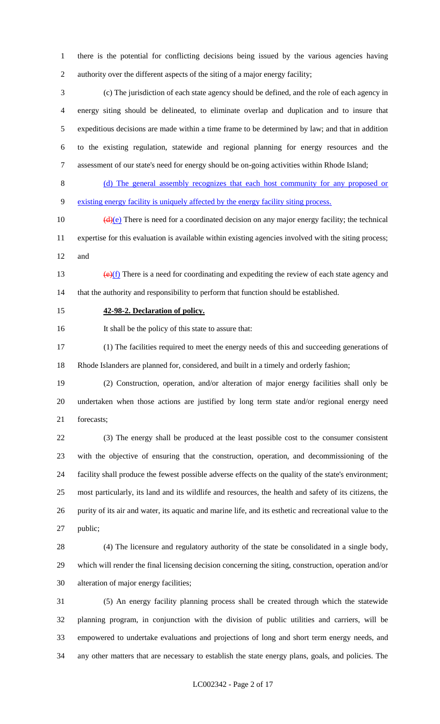there is the potential for conflicting decisions being issued by the various agencies having authority over the different aspects of the siting of a major energy facility;

 (c) The jurisdiction of each state agency should be defined, and the role of each agency in energy siting should be delineated, to eliminate overlap and duplication and to insure that expeditious decisions are made within a time frame to be determined by law; and that in addition to the existing regulation, statewide and regional planning for energy resources and the assessment of our state's need for energy should be on-going activities within Rhode Island;

 (d) The general assembly recognizes that each host community for any proposed or existing energy facility is uniquely affected by the energy facility siting process.

10  $(d)(e)$  There is need for a coordinated decision on any major energy facility; the technical expertise for this evaluation is available within existing agencies involved with the siting process; and

13  $(e)(f)$  There is a need for coordinating and expediting the review of each state agency and that the authority and responsibility to perform that function should be established.

#### **42-98-2. Declaration of policy.**

It shall be the policy of this state to assure that:

 (1) The facilities required to meet the energy needs of this and succeeding generations of Rhode Islanders are planned for, considered, and built in a timely and orderly fashion;

 (2) Construction, operation, and/or alteration of major energy facilities shall only be undertaken when those actions are justified by long term state and/or regional energy need forecasts;

 (3) The energy shall be produced at the least possible cost to the consumer consistent with the objective of ensuring that the construction, operation, and decommissioning of the facility shall produce the fewest possible adverse effects on the quality of the state's environment; most particularly, its land and its wildlife and resources, the health and safety of its citizens, the purity of its air and water, its aquatic and marine life, and its esthetic and recreational value to the public;

 (4) The licensure and regulatory authority of the state be consolidated in a single body, which will render the final licensing decision concerning the siting, construction, operation and/or alteration of major energy facilities;

 (5) An energy facility planning process shall be created through which the statewide planning program, in conjunction with the division of public utilities and carriers, will be empowered to undertake evaluations and projections of long and short term energy needs, and any other matters that are necessary to establish the state energy plans, goals, and policies. The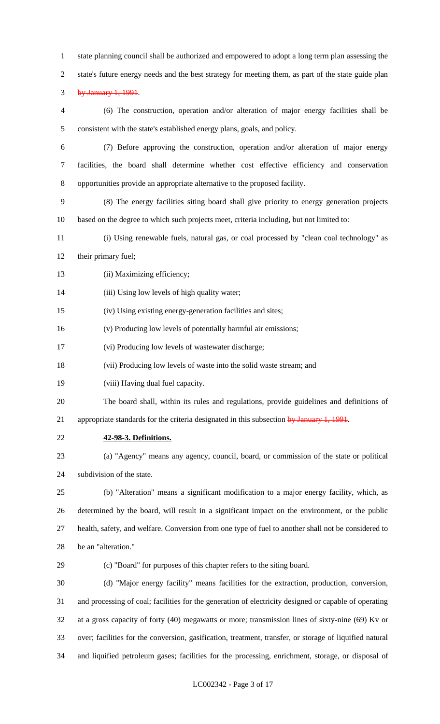state planning council shall be authorized and empowered to adopt a long term plan assessing the state's future energy needs and the best strategy for meeting them, as part of the state guide plan by January 1, 1991.

 (6) The construction, operation and/or alteration of major energy facilities shall be consistent with the state's established energy plans, goals, and policy.

 (7) Before approving the construction, operation and/or alteration of major energy facilities, the board shall determine whether cost effective efficiency and conservation opportunities provide an appropriate alternative to the proposed facility.

 (8) The energy facilities siting board shall give priority to energy generation projects based on the degree to which such projects meet, criteria including, but not limited to:

- (i) Using renewable fuels, natural gas, or coal processed by "clean coal technology" as 12 their primary fuel;
- 13 (ii) Maximizing efficiency;

14 (iii) Using low levels of high quality water;

(iv) Using existing energy-generation facilities and sites;

(v) Producing low levels of potentially harmful air emissions;

(vi) Producing low levels of wastewater discharge;

(vii) Producing low levels of waste into the solid waste stream; and

(viii) Having dual fuel capacity.

The board shall, within its rules and regulations, provide guidelines and definitions of

21 appropriate standards for the criteria designated in this subsection by January 1, 1991.

**42-98-3. Definitions.**

 (a) "Agency" means any agency, council, board, or commission of the state or political subdivision of the state.

 (b) "Alteration" means a significant modification to a major energy facility, which, as determined by the board, will result in a significant impact on the environment, or the public health, safety, and welfare. Conversion from one type of fuel to another shall not be considered to be an "alteration."

(c) "Board" for purposes of this chapter refers to the siting board.

 (d) "Major energy facility" means facilities for the extraction, production, conversion, and processing of coal; facilities for the generation of electricity designed or capable of operating at a gross capacity of forty (40) megawatts or more; transmission lines of sixty-nine (69) Kv or over; facilities for the conversion, gasification, treatment, transfer, or storage of liquified natural and liquified petroleum gases; facilities for the processing, enrichment, storage, or disposal of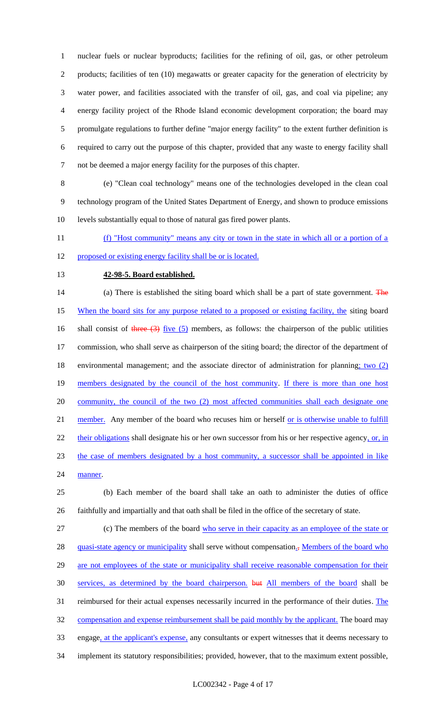nuclear fuels or nuclear byproducts; facilities for the refining of oil, gas, or other petroleum products; facilities of ten (10) megawatts or greater capacity for the generation of electricity by water power, and facilities associated with the transfer of oil, gas, and coal via pipeline; any energy facility project of the Rhode Island economic development corporation; the board may promulgate regulations to further define "major energy facility" to the extent further definition is required to carry out the purpose of this chapter, provided that any waste to energy facility shall not be deemed a major energy facility for the purposes of this chapter.

8 (e) "Clean coal technology" means one of the technologies developed in the clean coal 9 technology program of the United States Department of Energy, and shown to produce emissions 10 levels substantially equal to those of natural gas fired power plants.

11 (f) "Host community" means any city or town in the state in which all or a portion of a

12 proposed or existing energy facility shall be or is located.

## 13 **42-98-5. Board established.**

14 (a) There is established the siting board which shall be a part of state government. The 15 When the board sits for any purpose related to a proposed or existing facility, the siting board 16 shall consist of three  $(3)$  five  $(5)$  members, as follows: the chairperson of the public utilities 17 commission, who shall serve as chairperson of the siting board; the director of the department of 18 environmental management; and the associate director of administration for planning; two (2) 19 members designated by the council of the host community. If there is more than one host 20 community, the council of the two (2) most affected communities shall each designate one 21 member. Any member of the board who recuses him or herself or is otherwise unable to fulfill 22 their obligations shall designate his or her own successor from his or her respective agency, or, in 23 the case of members designated by a host community, a successor shall be appointed in like 24 manner.

25 (b) Each member of the board shall take an oath to administer the duties of office 26 faithfully and impartially and that oath shall be filed in the office of the secretary of state.

27 (c) The members of the board who serve in their capacity as an employee of the state or 28 quasi-state agency or municipality shall serve without compensation<sub>5</sub>, Members of the board who 29 are not employees of the state or municipality shall receive reasonable compensation for their 30 services, as determined by the board chairperson. but All members of the board shall be 31 reimbursed for their actual expenses necessarily incurred in the performance of their duties. The 32 compensation and expense reimbursement shall be paid monthly by the applicant. The board may 33 engage, at the applicant's expense, any consultants or expert witnesses that it deems necessary to 34 implement its statutory responsibilities; provided, however, that to the maximum extent possible,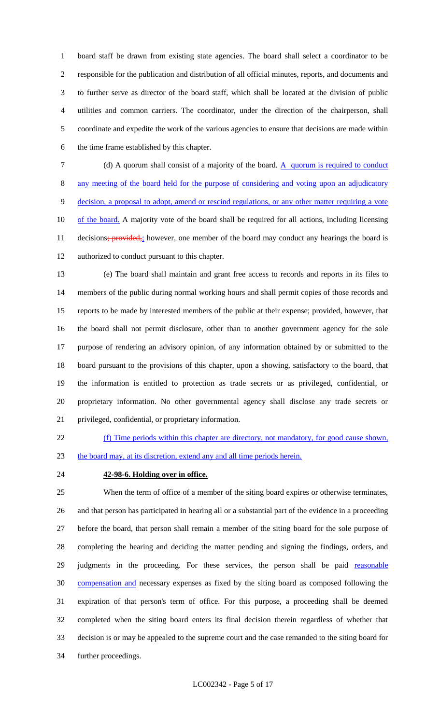board staff be drawn from existing state agencies. The board shall select a coordinator to be responsible for the publication and distribution of all official minutes, reports, and documents and to further serve as director of the board staff, which shall be located at the division of public utilities and common carriers. The coordinator, under the direction of the chairperson, shall coordinate and expedite the work of the various agencies to ensure that decisions are made within the time frame established by this chapter.

7 (d) A quorum shall consist of a majority of the board. A quorum is required to conduct any meeting of the board held for the purpose of considering and voting upon an adjudicatory decision, a proposal to adopt, amend or rescind regulations, or any other matter requiring a vote 10 of the board. A majority vote of the board shall be required for all actions, including licensing 11 decisions; **provided**, however, one member of the board may conduct any hearings the board is authorized to conduct pursuant to this chapter.

 (e) The board shall maintain and grant free access to records and reports in its files to members of the public during normal working hours and shall permit copies of those records and reports to be made by interested members of the public at their expense; provided, however, that the board shall not permit disclosure, other than to another government agency for the sole purpose of rendering an advisory opinion, of any information obtained by or submitted to the board pursuant to the provisions of this chapter, upon a showing, satisfactory to the board, that the information is entitled to protection as trade secrets or as privileged, confidential, or proprietary information. No other governmental agency shall disclose any trade secrets or privileged, confidential, or proprietary information.

 (f) Time periods within this chapter are directory, not mandatory, for good cause shown, the board may, at its discretion, extend any and all time periods herein.

#### **42-98-6. Holding over in office.**

 When the term of office of a member of the siting board expires or otherwise terminates, and that person has participated in hearing all or a substantial part of the evidence in a proceeding before the board, that person shall remain a member of the siting board for the sole purpose of completing the hearing and deciding the matter pending and signing the findings, orders, and 29 judgments in the proceeding. For these services, the person shall be paid reasonable compensation and necessary expenses as fixed by the siting board as composed following the expiration of that person's term of office. For this purpose, a proceeding shall be deemed completed when the siting board enters its final decision therein regardless of whether that decision is or may be appealed to the supreme court and the case remanded to the siting board for further proceedings.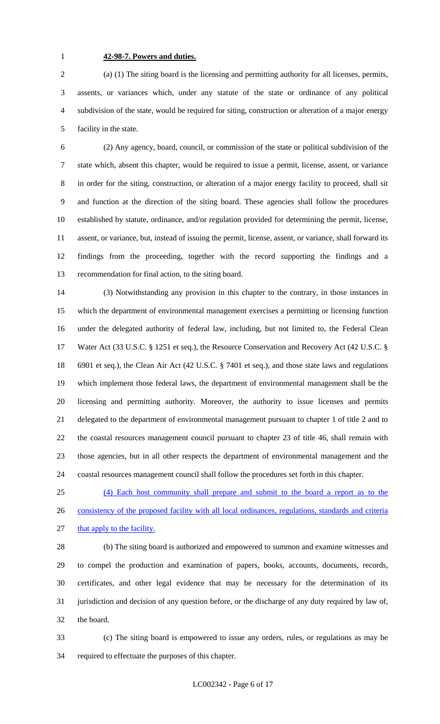## **42-98-7. Powers and duties.**

 (a) (1) The siting board is the licensing and permitting authority for all licenses, permits, assents, or variances which, under any statute of the state or ordinance of any political subdivision of the state, would be required for siting, construction or alteration of a major energy facility in the state.

 (2) Any agency, board, council, or commission of the state or political subdivision of the state which, absent this chapter, would be required to issue a permit, license, assent, or variance in order for the siting, construction, or alteration of a major energy facility to proceed, shall sit and function at the direction of the siting board. These agencies shall follow the procedures established by statute, ordinance, and/or regulation provided for determining the permit, license, assent, or variance, but, instead of issuing the permit, license, assent, or variance, shall forward its findings from the proceeding, together with the record supporting the findings and a recommendation for final action, to the siting board.

 (3) Notwithstanding any provision in this chapter to the contrary, in those instances in which the department of environmental management exercises a permitting or licensing function under the delegated authority of federal law, including, but not limited to, the Federal Clean Water Act (33 U.S.C. § 1251 et seq.), the Resource Conservation and Recovery Act (42 U.S.C. § 6901 et seq.), the Clean Air Act (42 U.S.C. § 7401 et seq.), and those state laws and regulations which implement those federal laws, the department of environmental management shall be the licensing and permitting authority. Moreover, the authority to issue licenses and permits delegated to the department of environmental management pursuant to chapter 1 of title 2 and to the coastal resources management council pursuant to chapter 23 of title 46, shall remain with those agencies, but in all other respects the department of environmental management and the coastal resources management council shall follow the procedures set forth in this chapter.

 (4) Each host community shall prepare and submit to the board a report as to the 26 consistency of the proposed facility with all local ordinances, regulations, standards and criteria 27 that apply to the facility.

 (b) The siting board is authorized and empowered to summon and examine witnesses and to compel the production and examination of papers, books, accounts, documents, records, certificates, and other legal evidence that may be necessary for the determination of its jurisdiction and decision of any question before, or the discharge of any duty required by law of, the board.

 (c) The siting board is empowered to issue any orders, rules, or regulations as may be required to effectuate the purposes of this chapter.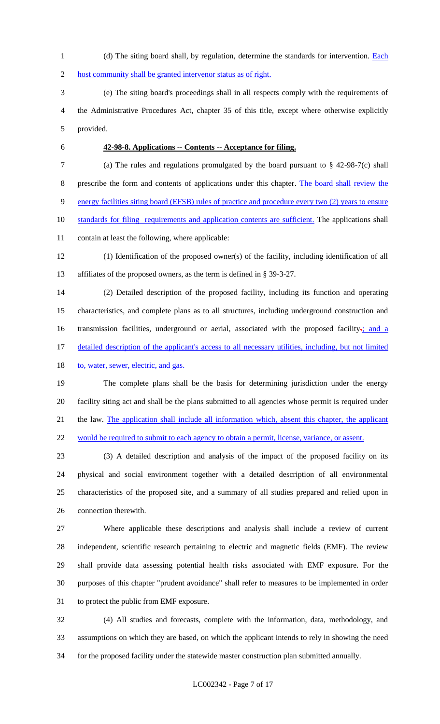- 1 (d) The siting board shall, by regulation, determine the standards for intervention. Each
- host community shall be granted intervenor status as of right.

 (e) The siting board's proceedings shall in all respects comply with the requirements of the Administrative Procedures Act, chapter 35 of this title, except where otherwise explicitly provided.

#### **42-98-8. Applications -- Contents -- Acceptance for filing.**

 (a) The rules and regulations promulgated by the board pursuant to § 42-98-7(c) shall prescribe the form and contents of applications under this chapter. The board shall review the energy facilities siting board (EFSB) rules of practice and procedure every two (2) years to ensure 10 standards for filing requirements and application contents are sufficient. The applications shall contain at least the following, where applicable:

 (1) Identification of the proposed owner(s) of the facility, including identification of all affiliates of the proposed owners, as the term is defined in § 39-3-27.

 (2) Detailed description of the proposed facility, including its function and operating characteristics, and complete plans as to all structures, including underground construction and 16 transmission facilities, underground or aerial, associated with the proposed facility- $\frac{1}{2}$  and a detailed description of the applicant's access to all necessary utilities, including, but not limited

18 to, water, sewer, electric, and gas.

 The complete plans shall be the basis for determining jurisdiction under the energy facility siting act and shall be the plans submitted to all agencies whose permit is required under 21 the law. The application shall include all information which, absent this chapter, the applicant 22 would be required to submit to each agency to obtain a permit, license, variance, or assent.

 (3) A detailed description and analysis of the impact of the proposed facility on its physical and social environment together with a detailed description of all environmental characteristics of the proposed site, and a summary of all studies prepared and relied upon in connection therewith.

 Where applicable these descriptions and analysis shall include a review of current independent, scientific research pertaining to electric and magnetic fields (EMF). The review shall provide data assessing potential health risks associated with EMF exposure. For the purposes of this chapter "prudent avoidance" shall refer to measures to be implemented in order to protect the public from EMF exposure.

 (4) All studies and forecasts, complete with the information, data, methodology, and assumptions on which they are based, on which the applicant intends to rely in showing the need for the proposed facility under the statewide master construction plan submitted annually.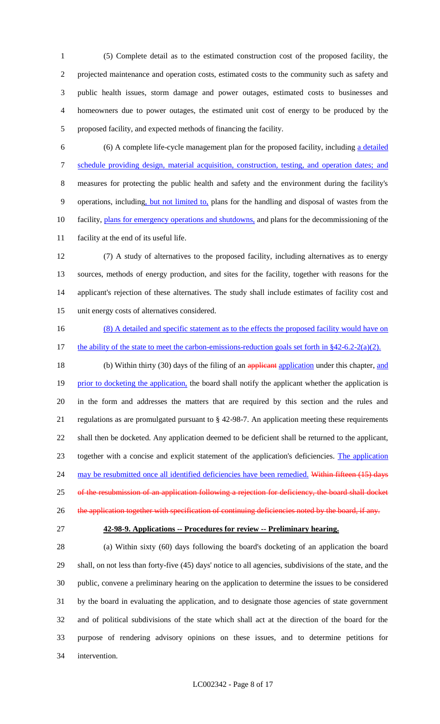(5) Complete detail as to the estimated construction cost of the proposed facility, the projected maintenance and operation costs, estimated costs to the community such as safety and public health issues, storm damage and power outages, estimated costs to businesses and homeowners due to power outages, the estimated unit cost of energy to be produced by the proposed facility, and expected methods of financing the facility.

 (6) A complete life-cycle management plan for the proposed facility, including a detailed schedule providing design, material acquisition, construction, testing, and operation dates; and measures for protecting the public health and safety and the environment during the facility's operations, including, but not limited to, plans for the handling and disposal of wastes from the 10 facility, plans for emergency operations and shutdowns, and plans for the decommissioning of the facility at the end of its useful life.

 (7) A study of alternatives to the proposed facility, including alternatives as to energy sources, methods of energy production, and sites for the facility, together with reasons for the applicant's rejection of these alternatives. The study shall include estimates of facility cost and unit energy costs of alternatives considered.

16 (8) A detailed and specific statement as to the effects the proposed facility would have on 17 the ability of the state to meet the carbon-emissions-reduction goals set forth in §42-6.2-2(a)(2).

18 (b) Within thirty (30) days of the filing of an applicant application under this chapter, and 19 prior to docketing the application, the board shall notify the applicant whether the application is in the form and addresses the matters that are required by this section and the rules and regulations as are promulgated pursuant to § 42-98-7. An application meeting these requirements shall then be docketed. Any application deemed to be deficient shall be returned to the applicant, together with a concise and explicit statement of the application's deficiencies. The application 24 may be resubmitted once all identified deficiencies have been remedied. Within fifteen (15) days 25 of the resubmission of an application following a rejection for deficiency, the board shall docket 26 the application together with specification of continuing deficiencies noted by the board, if any.

#### **42-98-9. Applications -- Procedures for review -- Preliminary hearing.**

 (a) Within sixty (60) days following the board's docketing of an application the board shall, on not less than forty-five (45) days' notice to all agencies, subdivisions of the state, and the public, convene a preliminary hearing on the application to determine the issues to be considered by the board in evaluating the application, and to designate those agencies of state government and of political subdivisions of the state which shall act at the direction of the board for the purpose of rendering advisory opinions on these issues, and to determine petitions for intervention.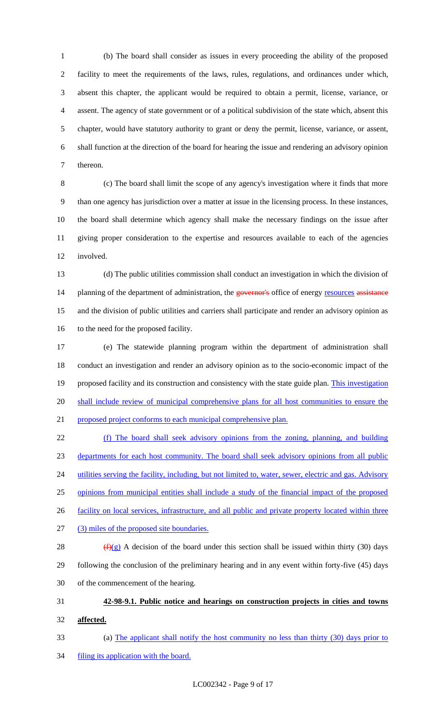(b) The board shall consider as issues in every proceeding the ability of the proposed facility to meet the requirements of the laws, rules, regulations, and ordinances under which, absent this chapter, the applicant would be required to obtain a permit, license, variance, or assent. The agency of state government or of a political subdivision of the state which, absent this chapter, would have statutory authority to grant or deny the permit, license, variance, or assent, shall function at the direction of the board for hearing the issue and rendering an advisory opinion thereon.

 (c) The board shall limit the scope of any agency's investigation where it finds that more than one agency has jurisdiction over a matter at issue in the licensing process. In these instances, the board shall determine which agency shall make the necessary findings on the issue after giving proper consideration to the expertise and resources available to each of the agencies involved.

 (d) The public utilities commission shall conduct an investigation in which the division of 14 planning of the department of administration, the governor's office of energy resources assistance and the division of public utilities and carriers shall participate and render an advisory opinion as 16 to the need for the proposed facility.

 (e) The statewide planning program within the department of administration shall conduct an investigation and render an advisory opinion as to the socio-economic impact of the 19 proposed facility and its construction and consistency with the state guide plan. This investigation 20 shall include review of municipal comprehensive plans for all host communities to ensure the proposed project conforms to each municipal comprehensive plan.

 (f) The board shall seek advisory opinions from the zoning, planning, and building departments for each host community. The board shall seek advisory opinions from all public 24 utilities serving the facility, including, but not limited to, water, sewer, electric and gas. Advisory opinions from municipal entities shall include a study of the financial impact of the proposed 26 facility on local services, infrastructure, and all public and private property located within three (3) miles of the proposed site boundaries.  $(f)(g)$  A decision of the board under this section shall be issued within thirty (30) days

 following the conclusion of the preliminary hearing and in any event within forty-five (45) days of the commencement of the hearing.

 **42-98-9.1. Public notice and hearings on construction projects in cities and towns affected.**

 (a) The applicant shall notify the host community no less than thirty (30) days prior to filing its application with the board.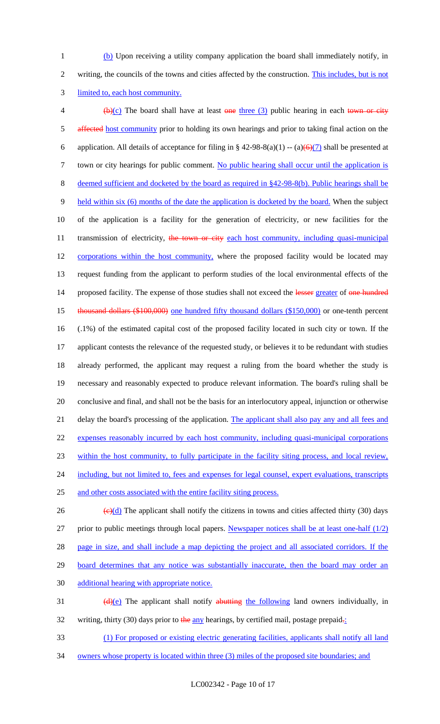1 (b) Upon receiving a utility company application the board shall immediately notify, in 2 writing, the councils of the towns and cities affected by the construction. This includes, but is not 3 limited to, each host community.

 $\bigoplus$  (b)(c) The board shall have at least one three (3) public hearing in each town or city 5 affected host community prior to holding its own hearings and prior to taking final action on the 6 application. All details of acceptance for filing in § 42-98-8(a)(1) -- (a) $\left(\frac{\Theta}{7}\right)$  shall be presented at 7 town or city hearings for public comment. No public hearing shall occur until the application is 8 deemed sufficient and docketed by the board as required in §42-98-8(b). Public hearings shall be 9 held within six (6) months of the date the application is docketed by the board. When the subject 10 of the application is a facility for the generation of electricity, or new facilities for the 11 transmission of electricity, the town or city each host community, including quasi-municipal 12 corporations within the host community, where the proposed facility would be located may 13 request funding from the applicant to perform studies of the local environmental effects of the 14 proposed facility. The expense of those studies shall not exceed the lesser greater of one hundred 15 thousand dollars (\$100,000) one hundred fifty thousand dollars (\$150,000) or one-tenth percent 16 (.1%) of the estimated capital cost of the proposed facility located in such city or town. If the 17 applicant contests the relevance of the requested study, or believes it to be redundant with studies 18 already performed, the applicant may request a ruling from the board whether the study is 19 necessary and reasonably expected to produce relevant information. The board's ruling shall be 20 conclusive and final, and shall not be the basis for an interlocutory appeal, injunction or otherwise 21 delay the board's processing of the application. The applicant shall also pay any and all fees and 22 expenses reasonably incurred by each host community, including quasi-municipal corporations 23 within the host community, to fully participate in the facility siting process, and local review, 24 including, but not limited to, fees and expenses for legal counsel, expert evaluations, transcripts 25 and other costs associated with the entire facility siting process.

 $\left(\frac{e}{d}\right)$  The applicant shall notify the citizens in towns and cities affected thirty (30) days 27 prior to public meetings through local papers. Newspaper notices shall be at least one-half (1/2) page in size, and shall include a map depicting the project and all associated corridors. If the 29 board determines that any notice was substantially inaccurate, then the board may order an additional hearing with appropriate notice.  $(d)(e)$  The applicant shall notify abutting the following land owners individually, in

32 writing, thirty (30) days prior to the any hearings, by certified mail, postage prepaid $\frac{1}{2}$ .

33 (1) For proposed or existing electric generating facilities, applicants shall notify all land

34 owners whose property is located within three (3) miles of the proposed site boundaries; and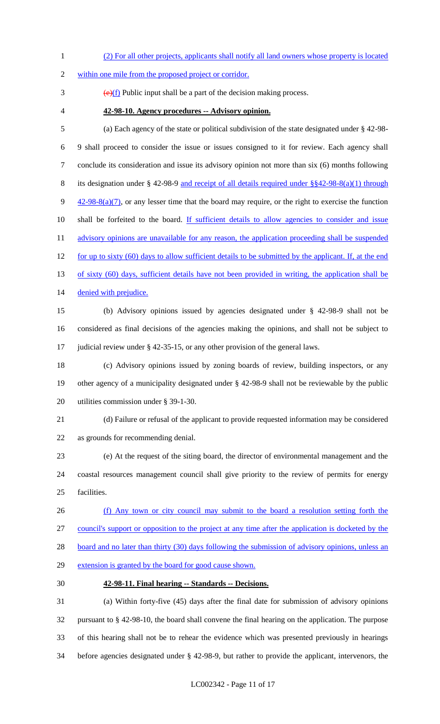(2) For all other projects, applicants shall notify all land owners whose property is located

```
2 within one mile from the proposed project or corridor.
```
- $\frac{(\mathbf{e})(f)}{g}$  Public input shall be a part of the decision making process.
- **42-98-10. Agency procedures -- Advisory opinion.**
- (a) Each agency of the state or political subdivision of the state designated under § 42-98- 9 shall proceed to consider the issue or issues consigned to it for review. Each agency shall conclude its consideration and issue its advisory opinion not more than six (6) months following 8 its designation under § 42-98-9 and receipt of all details required under §§42-98-8(a)(1) through 9  $\frac{42-98-8(a)(7)}{2}$ , or any lesser time that the board may require, or the right to exercise the function 10 shall be forfeited to the board. If sufficient details to allow agencies to consider and issue 11 advisory opinions are unavailable for any reason, the application proceeding shall be suspended 12 for up to sixty (60) days to allow sufficient details to be submitted by the applicant. If, at the end 13 of sixty (60) days, sufficient details have not been provided in writing, the application shall be 14 denied with prejudice. (b) Advisory opinions issued by agencies designated under § 42-98-9 shall not be considered as final decisions of the agencies making the opinions, and shall not be subject to judicial review under § 42-35-15, or any other provision of the general laws.
- (c) Advisory opinions issued by zoning boards of review, building inspectors, or any other agency of a municipality designated under § 42-98-9 shall not be reviewable by the public utilities commission under § 39-1-30.
- (d) Failure or refusal of the applicant to provide requested information may be considered as grounds for recommending denial.
- (e) At the request of the siting board, the director of environmental management and the coastal resources management council shall give priority to the review of permits for energy facilities.
- (f) Any town or city council may submit to the board a resolution setting forth the council's support or opposition to the project at any time after the application is docketed by the 28 board and no later than thirty (30) days following the submission of advisory opinions, unless an
- extension is granted by the board for good cause shown.
- 

#### **42-98-11. Final hearing -- Standards -- Decisions.**

 (a) Within forty-five (45) days after the final date for submission of advisory opinions pursuant to § 42-98-10, the board shall convene the final hearing on the application. The purpose of this hearing shall not be to rehear the evidence which was presented previously in hearings before agencies designated under § 42-98-9, but rather to provide the applicant, intervenors, the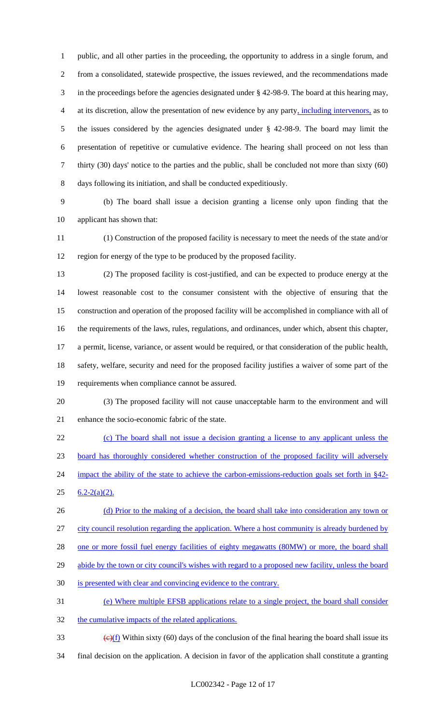public, and all other parties in the proceeding, the opportunity to address in a single forum, and from a consolidated, statewide prospective, the issues reviewed, and the recommendations made in the proceedings before the agencies designated under § 42-98-9. The board at this hearing may, at its discretion, allow the presentation of new evidence by any party, including intervenors, as to the issues considered by the agencies designated under § 42-98-9. The board may limit the presentation of repetitive or cumulative evidence. The hearing shall proceed on not less than thirty (30) days' notice to the parties and the public, shall be concluded not more than sixty (60) days following its initiation, and shall be conducted expeditiously.

 (b) The board shall issue a decision granting a license only upon finding that the applicant has shown that:

 (1) Construction of the proposed facility is necessary to meet the needs of the state and/or region for energy of the type to be produced by the proposed facility.

- (2) The proposed facility is cost-justified, and can be expected to produce energy at the lowest reasonable cost to the consumer consistent with the objective of ensuring that the construction and operation of the proposed facility will be accomplished in compliance with all of the requirements of the laws, rules, regulations, and ordinances, under which, absent this chapter, a permit, license, variance, or assent would be required, or that consideration of the public health, safety, welfare, security and need for the proposed facility justifies a waiver of some part of the requirements when compliance cannot be assured.
- (3) The proposed facility will not cause unacceptable harm to the environment and will enhance the socio-economic fabric of the state.
- (c) The board shall not issue a decision granting a license to any applicant unless the board has thoroughly considered whether construction of the proposed facility will adversely 24 impact the ability of the state to achieve the carbon-emissions-reduction goals set forth in §42- $25 \quad 6.2 - 2(a)(2)$ .
- 26 (d) Prior to the making of a decision, the board shall take into consideration any town or city council resolution regarding the application. Where a host community is already burdened by 28 one or more fossil fuel energy facilities of eighty megawatts (80MW) or more, the board shall
- 29 abide by the town or city council's wishes with regard to a proposed new facility, unless the board
- is presented with clear and convincing evidence to the contrary.
- (e) Where multiple EFSB applications relate to a single project, the board shall consider
- 32 the cumulative impacts of the related applications.
- 33  $\left(\frac{e}{f}\right)$  Within sixty (60) days of the conclusion of the final hearing the board shall issue its final decision on the application. A decision in favor of the application shall constitute a granting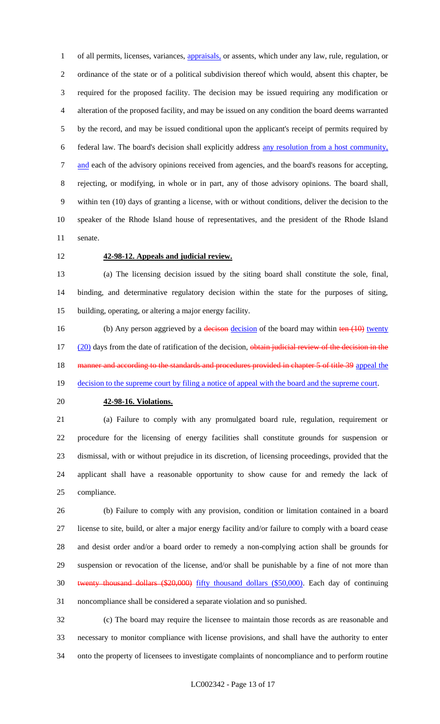1 of all permits, licenses, variances, *appraisals*, or assents, which under any law, rule, regulation, or ordinance of the state or of a political subdivision thereof which would, absent this chapter, be required for the proposed facility. The decision may be issued requiring any modification or alteration of the proposed facility, and may be issued on any condition the board deems warranted by the record, and may be issued conditional upon the applicant's receipt of permits required by federal law. The board's decision shall explicitly address any resolution from a host community, 7 and each of the advisory opinions received from agencies, and the board's reasons for accepting, rejecting, or modifying, in whole or in part, any of those advisory opinions. The board shall, within ten (10) days of granting a license, with or without conditions, deliver the decision to the speaker of the Rhode Island house of representatives, and the president of the Rhode Island senate.

## **42-98-12. Appeals and judicial review.**

 (a) The licensing decision issued by the siting board shall constitute the sole, final, binding, and determinative regulatory decision within the state for the purposes of siting, building, operating, or altering a major energy facility.

16 (b) Any person aggrieved by a decision decision of the board may within ten (10) twenty  $17 \frac{(20)}{20}$  days from the date of ratification of the decision, obtain judicial review of the decision in the 18 manner and according to the standards and procedures provided in chapter 5 of title 39 appeal the 19 decision to the supreme court by filing a notice of appeal with the board and the supreme court.

#### **42-98-16. Violations.**

 (a) Failure to comply with any promulgated board rule, regulation, requirement or procedure for the licensing of energy facilities shall constitute grounds for suspension or dismissal, with or without prejudice in its discretion, of licensing proceedings, provided that the applicant shall have a reasonable opportunity to show cause for and remedy the lack of compliance.

 (b) Failure to comply with any provision, condition or limitation contained in a board license to site, build, or alter a major energy facility and/or failure to comply with a board cease and desist order and/or a board order to remedy a non-complying action shall be grounds for suspension or revocation of the license, and/or shall be punishable by a fine of not more than twenty thousand dollars (\$20,000) fifty thousand dollars (\$50,000). Each day of continuing noncompliance shall be considered a separate violation and so punished.

 (c) The board may require the licensee to maintain those records as are reasonable and necessary to monitor compliance with license provisions, and shall have the authority to enter onto the property of licensees to investigate complaints of noncompliance and to perform routine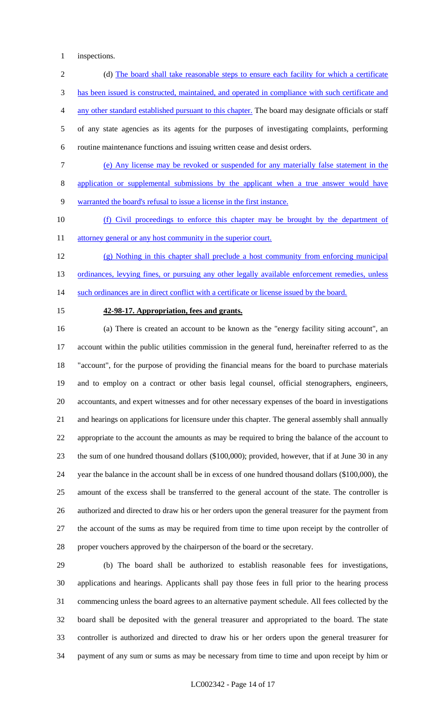inspections.

2 (d) The board shall take reasonable steps to ensure each facility for which a certificate has been issued is constructed, maintained, and operated in compliance with such certificate and any other standard established pursuant to this chapter. The board may designate officials or staff of any state agencies as its agents for the purposes of investigating complaints, performing routine maintenance functions and issuing written cease and desist orders.

 (e) Any license may be revoked or suspended for any materially false statement in the application or supplemental submissions by the applicant when a true answer would have

warranted the board's refusal to issue a license in the first instance.

 (f) Civil proceedings to enforce this chapter may be brought by the department of 11 attorney general or any host community in the superior court.

 (g) Nothing in this chapter shall preclude a host community from enforcing municipal 13 ordinances, levying fines, or pursuing any other legally available enforcement remedies, unless 14 such ordinances are in direct conflict with a certificate or license issued by the board.

#### **42-98-17. Appropriation, fees and grants.**

 (a) There is created an account to be known as the "energy facility siting account", an account within the public utilities commission in the general fund, hereinafter referred to as the "account", for the purpose of providing the financial means for the board to purchase materials and to employ on a contract or other basis legal counsel, official stenographers, engineers, accountants, and expert witnesses and for other necessary expenses of the board in investigations and hearings on applications for licensure under this chapter. The general assembly shall annually appropriate to the account the amounts as may be required to bring the balance of the account to the sum of one hundred thousand dollars (\$100,000); provided, however, that if at June 30 in any year the balance in the account shall be in excess of one hundred thousand dollars (\$100,000), the amount of the excess shall be transferred to the general account of the state. The controller is authorized and directed to draw his or her orders upon the general treasurer for the payment from the account of the sums as may be required from time to time upon receipt by the controller of proper vouchers approved by the chairperson of the board or the secretary.

 (b) The board shall be authorized to establish reasonable fees for investigations, applications and hearings. Applicants shall pay those fees in full prior to the hearing process commencing unless the board agrees to an alternative payment schedule. All fees collected by the board shall be deposited with the general treasurer and appropriated to the board. The state controller is authorized and directed to draw his or her orders upon the general treasurer for payment of any sum or sums as may be necessary from time to time and upon receipt by him or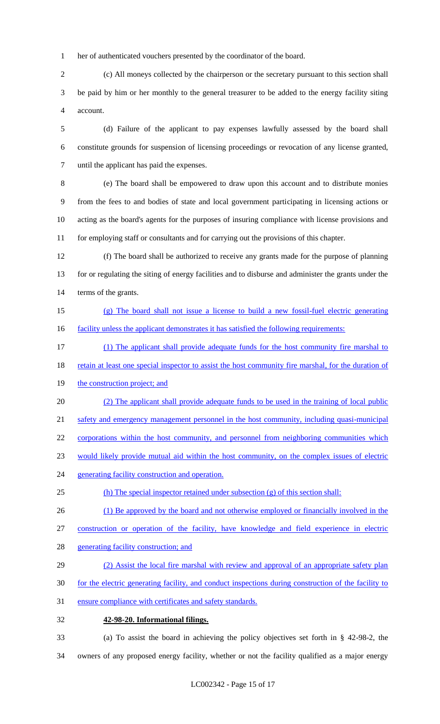her of authenticated vouchers presented by the coordinator of the board.

 (c) All moneys collected by the chairperson or the secretary pursuant to this section shall be paid by him or her monthly to the general treasurer to be added to the energy facility siting account.

 (d) Failure of the applicant to pay expenses lawfully assessed by the board shall constitute grounds for suspension of licensing proceedings or revocation of any license granted, until the applicant has paid the expenses.

 (e) The board shall be empowered to draw upon this account and to distribute monies from the fees to and bodies of state and local government participating in licensing actions or acting as the board's agents for the purposes of insuring compliance with license provisions and for employing staff or consultants and for carrying out the provisions of this chapter.

 (f) The board shall be authorized to receive any grants made for the purpose of planning for or regulating the siting of energy facilities and to disburse and administer the grants under the terms of the grants.

- (g) The board shall not issue a license to build a new fossil-fuel electric generating 16 facility unless the applicant demonstrates it has satisfied the following requirements:
- (1) The applicant shall provide adequate funds for the host community fire marshal to
- 18 retain at least one special inspector to assist the host community fire marshal, for the duration of
- 19 the construction project; and
- (2) The applicant shall provide adequate funds to be used in the training of local public
- safety and emergency management personnel in the host community, including quasi-municipal

corporations within the host community, and personnel from neighboring communities which

- would likely provide mutual aid within the host community, on the complex issues of electric
- 24 generating facility construction and operation.
- (h) The special inspector retained under subsection (g) of this section shall:
- 26 (1) Be approved by the board and not otherwise employed or financially involved in the

construction or operation of the facility, have knowledge and field experience in electric

- 28 generating facility construction; and
- 29 (2) Assist the local fire marshal with review and approval of an appropriate safety plan
- for the electric generating facility, and conduct inspections during construction of the facility to
- ensure compliance with certificates and safety standards.
- **42-98-20. Informational filings.**

 (a) To assist the board in achieving the policy objectives set forth in § 42-98-2, the owners of any proposed energy facility, whether or not the facility qualified as a major energy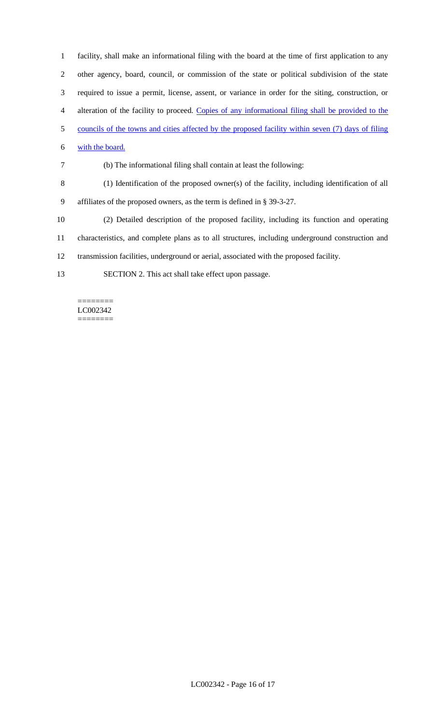facility, shall make an informational filing with the board at the time of first application to any other agency, board, council, or commission of the state or political subdivision of the state required to issue a permit, license, assent, or variance in order for the siting, construction, or alteration of the facility to proceed. Copies of any informational filing shall be provided to the councils of the towns and cities affected by the proposed facility within seven (7) days of filing with the board.

(b) The informational filing shall contain at least the following:

 (1) Identification of the proposed owner(s) of the facility, including identification of all affiliates of the proposed owners, as the term is defined in § 39-3-27.

(2) Detailed description of the proposed facility, including its function and operating

characteristics, and complete plans as to all structures, including underground construction and

transmission facilities, underground or aerial, associated with the proposed facility.

SECTION 2. This act shall take effect upon passage.

#### ======== LC002342 ========